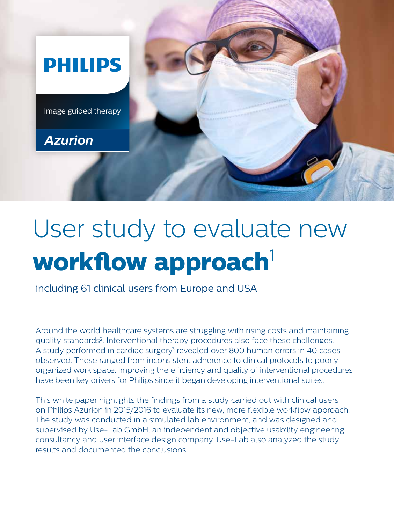

## User study to evaluate new **workflow approach**<sup>1</sup>

including 61 clinical users from Europe and USA

Around the world healthcare systems are struggling with rising costs and maintaining quality standards<sup>2</sup>. Interventional therapy procedures also face these challenges. A study performed in cardiac surgery<sup>3</sup> revealed over 800 human errors in 40 cases observed. These ranged from inconsistent adherence to clinical protocols to poorly organized work space. Improving the efficiency and quality of interventional procedures have been key drivers for Philips since it began developing interventional suites.

This white paper highlights the findings from a study carried out with clinical users on Philips Azurion in 2015/2016 to evaluate its new, more flexible workflow approach. The study was conducted in a simulated lab environment, and was designed and supervised by Use-Lab GmbH, an independent and objective usability engineering consultancy and user interface design company. Use-Lab also analyzed the study results and documented the conclusions.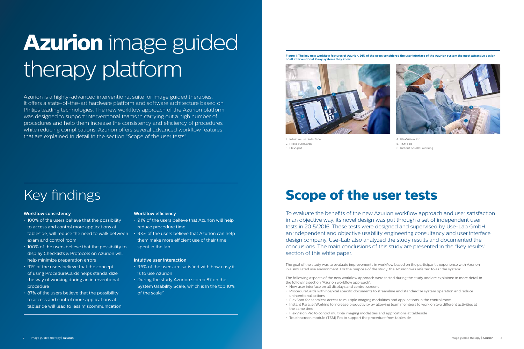# **Azurion** image guided therapy platform

Azurion is a highly-advanced interventional suite for image guided therapies. It offers a state-of-the-art hardware platform and software architecture based on Philips leading technologies. The new workflow approach of the Azurion platform was designed to support interventional teams in carrying out a high number of procedures and help them increase the consistency and efficiency of procedures while reducing complications. Azurion offers several advanced workflow features that are explained in detail in the section "Scope of the user tests".

- 100% of the users believe that the possibility to access and control more applications at exam and control room
- 100% of the users believe that the possibility to display Checklists & Protocols on Azurion will help minimize preparation errors
- 91% of the users believe that the concept of using ProcedureCards helps standardize the way of working during an interventional procedure
- 87% of the users believe that the possibility to access and control more applications at tableside will lead to less miscommunication

## **Workflow consistency**

- 91% of the users believe that Azurion will help reduce procedure time
- tableside, will reduce the need to walk between  $\, \cdot \,$  93% of the users believe that Azurion can help them make more efficient use of their time spent in the lab

## **Workflow efficiency**

## **Intuitive user interaction**

- 96% of the users are satisfied with how easy it is to use Azurion
- During the study Azurion scored 87 on the System Usability Scale, which is in the top 10% of the scale<sup>16</sup>

The goal of the study was to evaluate improvements in workflow based on the participant's experience with Azurion in a simulated use environment. For the purpose of the study, the Azurion was referred to as "the system".

The following aspects of the new workflow approach were tested during the study and are explained in more detail in the following section "Azurion workflow approach".

- New user interface on all displays and control screens
- ProcedureCards with hospital specific documents to streamline and standardize system operation and reduce unintentional actions
- FlexSpot for seamless access to multiple imaging modalities and applications in the control room
- Instant Parallel Working to increase productivity by allowing team members to work on two different activities at the same time
- FlexVision Pro to control multiple imaging modalities and applications at tableside
- Touch screen module (TSM) Pro to support the procedure from tableside

## **Scope of the user tests**

To evaluate the benefits of the new Azurion workflow approach and user satisfaction in an objective way, its novel design was put through a set of independent user tests in 2015/2016. These tests were designed and supervised by Use-Lab GmbH, an independent and objective usability engineering consultancy and user interface design company. Use-Lab also analyzed the study results and documented the conclusions. The main conclusions of this study are presented in the "Key results" section of this white paper.

1. Intuitive user interface 2. ProcedureCards 3. FlexSpot

4. FlexVision Pro

- 5. TSM Pro
- 6. Instant parallel working

**Figure 1: The key new workflow features of Azurion. 91% of the users considered the user interface of the Azurion system the most attractive design of all interventional X-ray systems they know.**



## Key findings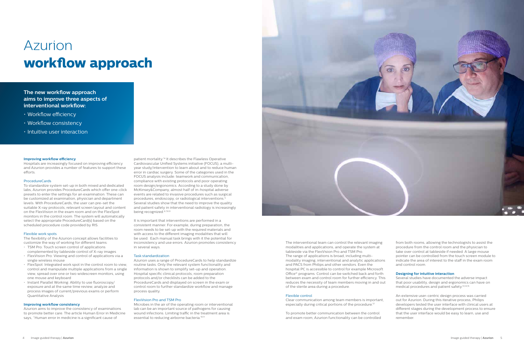## Azurion **workflow approach**

## **Improving workflow efficiency**

Hospitals are increasingly focused on improving efficiency and Azurion provides a number of features to support these efforts.

## **ProcedureCards**

To standardize system set-up in both mixed and dedicated labs, Azurion provides ProcedureCards which offer one-click presets to enter the settings for an examination. These can be customized at examination, physician and department levels. With ProcedureCards, the user can pre-set the suitable X-ray protocols, relevant screen layout and content on the FlexVision in the exam room and on the FlexSpot monitors in the control room. The system will automatically select the appropriate ProcedureCard(s) based on the scheduled procedure code provided by RIS.

## Flexible work spots

The flexibility of the Azurion concept allows facilities to customize the way of working for different teams:

- TSM Pro: Touch screen control of applications complemented by tableside control of X-ray images
- FlexVision Pro: Viewing and control of applications via a single wireless mouse
- FlexSpot: Integrated work spot in the control room to view, control and manipulate multiple applications from a single view, spread over one or two widescreen monitors, using one mouse and keyboard
- Instant Parallel Working: Ability to use fluoroscopy/ exposure and at the same time review, analyze and process images of current/previous exams or perform Quantitative Analysis

## **Improving workflow consistency**

Azurion aims to improve the consistency of examinations to promote better care. The article Human Error in Medicine says, "Human error in medicine is a significant cause of

Microbes in the air of the operating room or interventional lab can be an important source of pathogens for causing wound infections. Limiting traffic in the treatment area is essential to reducing airborne bacteria.<sup>10,11</sup>

Clear communication among team members is important, especially during critical portions of the procedure.<sup>12</sup>

patient mortality."4 It describes the Flawless Operative Cardiovascular Unified Systems initiative (FOCUS), a multiyear study/intervention to learn about and to reduce human error in cardiac surgery. Some of the categories used in the FOCUS analysis include: teamwork and communication, compliance with existing protocols and poor operating room design/ergonomics. According to a study done by McKinsey&Company, almost half of in-hospital adverse events are related to invasive procedures such as surgical procedures, endoscopy, or radiological interventions.<sup>5</sup> Several studies show that the need to improve the quality and patient safety in interventional radiology is increasingly being recognized.6,7,8,9

It is important that interventions are performed in a consistent manner. For example, during preparation, the room needs to be set-up with the required materials and with access to the different imaging modalities that will be used. Each manual task brings with it the potential for inconsistency and use errors. Azurion promotes consistency in several ways.

## Task standardization

Azurion uses a range of ProcedureCards to help standardize routine tasks. Only the relevant system functionality and information is shown to simplify set-up and operation. Hospital specific clinical protocols, room preparation protocols and/or checklists can be added to the ProcedureCards and displayed on screen in the exam or control room to further standardize workflow and manage process quality.

## FlexVision Pro and TSM Pro



### Flexible control

To promote better communication between the control and exam room, Azurion functionality can be controlled



## **The new workflow approach aims to improve three aspects of interventional workflow:**

- Workflow efficiency
- Workflow consistency
- Intuitive user interaction

from both rooms, allowing the technologists to assist the procedure from the control room and the physician to take over control at tableside if needed. A large mouse pointer can be controlled from the touch screen module to indicate the area of interest to the staff in the exam room and control room.

## **Designing for intuitive interaction**

Several studies have documented the adverse impact that poor usability, design and ergonomics can have on medical procedures and patient safety.13,14,15

An extensive user-centric design process was carried out for Azurion. During this iterative process, Philips developers tested the user interface with clinical users at different stages during the development process to ensure that the user interface would be easy to learn, use and remember.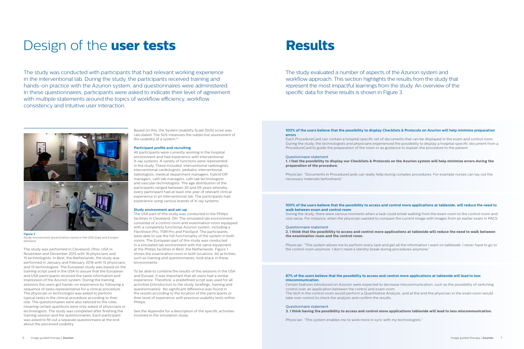The study was performed in Cleveland, Ohio, USA in November and December 2015 with 16 physicians and 15 technologists. In Best, the Netherlands, the study was performed in January and February 2016 with 15 physicians and 15 technologists. The European study was based on the training script used in the USA to assure that the European and USA participants received the same information and impression of the Azurion system. During the training sessions the users got hands-on experience by following a sequence of tasks representative for a clinical procedure. The physician or technologist was asked to perform typical tasks in the clinical procedure according to their role. The questionnaires were also tailored to the roles, meaning certain questions were only asked of physicians or technologists. The study was completed after finishing the training session and the questionnaires. Each participant was asked to fill out a separate questionnaire at the end about the perceived usability.

Based on this, the System Usability Scale (SUS) score was calculated. The SUS measures the subjective assessment of the usability of a system.<sup>16.</sup>



**Figure 2**  Study environment (examination room) in the USA (top) and Europe (bottom)

## Design of the **user tests Results**

The study was conducted with participants that had relevant working experience in the interventional lab. During the study, the participants received training and hands-on practice with the Azurion system, and questionnaires were administered. In these questionnaires, participants were asked to indicate their level of agreement with multiple statements around the topics of workflow efficiency, workflow consistency and intuitive user interaction.

To be able to combine the results of the sessions in the USA and Europe, it was important that all users had a similar experience. Therefore, a predefined script was used for all activities (introduction to the study, briefings, training and questionnaires). No significant difference was found in the results according to the location of the participants or their level of experience with previous usability tests within **Philins** 

The study evaluated a number of aspects of the Azurion system and workflow approach. This section highlights the results from the study that represent the most impactful learnings from the study. An overview of the specific data for these results is shown in Figure 3.

## **Participant profile and recruiting**

All participants were currently working in the hospital environment and had experience with interventional X-ray systems. A variety of functions were represented in the study. These included: interventional radiologists, interventional cardiologists, pediatric interventional radiologists, medical department managers, hybrid OR managers, cath lab managers, cath lab technologists and vascular technologists. The age distribution of the participants ranged between 20 and 59 years whereby every participant had at least one year of relevant clinical experience in an interventional lab. The participants had experience using various brands of X-ray systems.

## **Study environment and set-up**

The USA part of this study was conducted in the Philips facilities in Cleveland, OH. The simulated lab environment consisted of a control room and examination room equipped with a completely functional Azurion system, including a FlexVision Pro, TSM Pro and FlexSpot. The participants were able to use the full functionality of the system in both rooms. The European part of this study was conducted in a simulated lab environment with the same equipment at the Philips facilities in Best, the Netherlands. Figure 1 shows the examination room in both locations. All activities, such as training and questionnaires, took place in these environments.

See the Appendix for a description of the specific activities involved in the simulation study.

## **100% of the users believe that the possibility to display Checklists & Protocols on Azurion will help minimize preparation errors**

Each ProcedureCard can contain a hospital specific set of documents that can be displayed in the exam and control room. During the study, the technologists and physicians experienced the possibility to display a hospital specific document from a ProcedureCard to guide the preparation of the room or as guidance to explain the procedure to the patient.

## Questionnaire statement

## **1. I feel the possibility to display our Checklists & Protocols on the Azurion system will help minimize errors during the**

**preparation of the procedure.**

Physician: "Documents in ProcedureCards can really help during complex procedures. For example nurses can lay out the necessary materials beforehand."

## **100% of the users believe that the possibility to access and control more applications at tableside, will reduce the need to walk between exam and control room**

During the study, there were various moments when a task could entail walking from the exam room to the control room and vice versa. For instance, when the physician wanted to compare the current image with images from an earlier exam in PACS.

## Questionnaire statement

**2. I think that the possibility to access and control more applications at tableside will reduce the need to walk between the examination room and the control room.**

Physician: "This system allows me to perform every task and get all the information I want on tableside. I never have to go to the control room anymore. I don't need a sterility break during procedures anymore."

## **87% of the users believe that the possibility to access and control more applications at tableside will lead to less miscommunication.**

Certain features introduced on Azurion were expected to decrease miscommunication, such as the possibility of switching control over an application between the control and exam room. The tech in the control room would perform a Quantitative Analysis, and at the end the physician in the exam room would take over control to check the analysis and confirm the results.

### Questionnaire statement **3. I think having the possibility to access and control more applications tableside will lead to less miscommunication.**

Physician: "This system enables me to work more in sync with my technologists."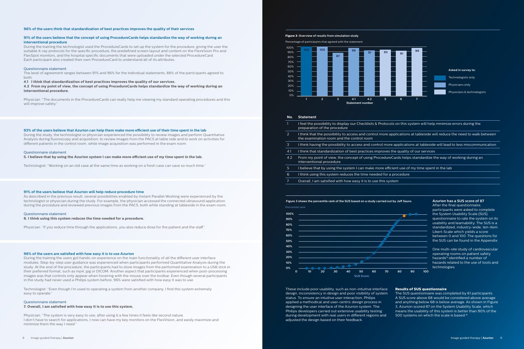## **96% of the users think that standardization of best practices improves the quality of their services**

## **91% of the users believe that the concept of using ProcedureCards helps standardize the way of working during an interventional procedure**

During the training the technologist used the ProcedureCards to set up the system for the procedure, giving the user the suitable X-ray protocols for the specific procedure, the predefined screen layout and content on the FlexVision Pro and FlexSpot monitors, and the hospital specific documents that were uploaded under the selected ProcedureCard. Each participant also created their own ProcedureCard to understand all of its attributes.

## Questionnaire statement

The level of agreement ranges between 91% and 96% for the individual statements, 88% of the participants agreed to both:

## **4.1 I think that standardization of best practices improves the quality of our services.**

**4.2 From my point of view, the concept of using ProcedureCards helps standardize the way of working during an interventional procedure.**

Physician: "The documents in the ProcedureCards can really help me viewing my standard operating procedures and this will improve safety."

## **93% of the users believe that Azurion can help them make more efficient use of their time spent in the lab**

During the study, the technologist or physician experienced the possibility to review images and perform Quantitative Analysis during fluoroscopy and acquisition, to review images from the PACS at table side and to work on activities for different patients in the control room, while image acquisition was performed in the exam room.

### Questionnaire statement

**5. I believe that by using the Azurion system I can make more efficient use of my time spent in the lab.**

Technologist: "Working on an old case at the same time as working on a fresh case can save so much time."

## **91% of the users believe that Azurion will help reduce procedure time**

As described in the previous result, several possibilities enabled by Instant Parallel Working were experienced by the technologist or physician during the study. For example, the physician accessed the connected ultrasound application during the procedure and reviewed previous images from the PACS, both while standing at tableside in the exam room.

## Questionnaire statement

**6. I think using this system reduces the time needed for a procedure.** 

Physician: "If you reduce time through the applications, you also reduce dose for the patient and the staff."

## **96% of the users are satisfied with how easy it is to use Azurion**

During the training the users got hands-on experience on the main functionality of all the different user interface modules. Step-by-step user guidance was experienced when participants performed Quantitative Analysis during the study. At the end of the procedure, the participants had to store images from the performed examination to a USB stick in their preferred format, such as mp4, jpg or DICOM. Another aspect that participants experienced when post-processing images was that controls only appear when hovering with the mouse over the toolbar. Even though several participants in the study had never used a Philips system before, 96% were satisfied with how easy it was to use.

> The SUS questionnaire was completed by 61 participants. A SUS score above 68 would be considered above average and anything below 68 is below average. As shown in Figure 3, Azurion scored 87 on the System Usability Scale, which means the usability of this system is better than 90% of the 500 systems on which the scale is based.<sup>16</sup>

Technologist: "Even though I'm used to operating a system from another company, I find this system extremely easy to operate."

## Questionnaire statement

## **7. Overall, I am satisfied with how easy it is to use this system.**

Physician: "The system is very easy to use, after using it a few times it feels like second nature. I don't have to search for applications, I now can have my key monitors on the FlexVision, and easily maximize and minimize them the way I need."

## **No. Statement**

| 1              | I feel the possibility to display our Checklists & Protocols on this s<br>preparation of the procedure            |
|----------------|-------------------------------------------------------------------------------------------------------------------|
| $\overline{2}$ | I think that the possibility to access and control more applications<br>the examination room and the control room |
| 3              | I think having the possibility to access and control more application                                             |
| 4.1            | I think that standardization of best practices improves the quality                                               |
| 4.2            | From my point of view, the concept of using ProcedureCards help<br>interventional procedure                       |
| 5.             | I believe that by using the system I can make more efficient use of                                               |
| 6              | I think using this system reduces the time needed for a procedure                                                 |
| 7              | Overall, I am satisfied with how easy it is to use this system                                                    |
|                |                                                                                                                   |



**Figure 3: Overview of results from simulation study** 



After the final questionnaire, participants were asked to complete the System Usability Scale (SUS) questionnaire to rate the system on its usability and learnability. The SUS is a standardized, industry-wide, ten-item Likert-Scale which yields a score between 0 and 100. The questions for the SUS can be found in the Appendix.



One multi-site study of cardiovascular operating rooms on patient safety hazards<sup>13</sup> identified a number of hazards related to the use of tools and technologies.

These include poor usability, such as non-intuitive interface design, inconsistency in design and poor visibility of system status. To ensure an intuitive user interaction, Philips applied a methodical and user-centric design process in designing the user interface of the Azurion system. The Philips developers carried out extensive usability testing during development with real users in different regions and adjusted the design based on their feedback.

on this system will help minimize errors during the

ications at tableside will reduce the need to walk between

oplications at tableside will lead to less miscommunication

quality of our services

 $r$ ds helps standardize the way of working during an

nt use of my time spent in the lab

## **Results of SUS questionnaire**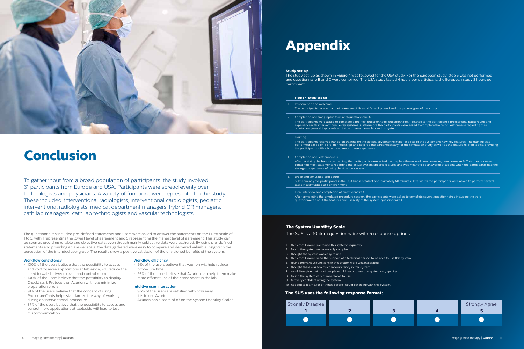To gather input from a broad population of participants, the study involved 61 participants from Europe and USA. Participants were spread evenly over technologists and physicians. A variety of functions were represented in the study. These included: interventional radiologists, interventional cardiologists, pediatric interventional radiologists, medical department managers, hybrid OR managers, cath lab managers, cath lab technologists and vascular technologists.



## **Conclusion**

The questionnaires included pre-defined statements and users were asked to answer the statements on the Likert scale of 1 to 5, with 1 representing the lowest level of agreement and 5 representing the highest level of agreement. This study can be seen as providing reliable and objective data, even though mainly subjective data were gathered. By using pre-defined statements and providing an answer scale, the data gathered were easy to compare and delivered valuable insights in the perception of the intended user group. The results show a positive validation of the envisioned benefits of the system.

- 96% of the users are satisfied with how easy it is to use Azurion
- Azurion has a score of 87 on the System Usability Scale<sup>16</sup>

## **Workflow consistency**

- 100% of the users believe that the possibility to access and control more applications at tableside, will reduce the need to walk between exam and control room
- 100% of the users believe that the possibility to display Checklists & Protocols on Azurion will help minimize preparation errors
- 91% of the users believe that the concept of using ProcedureCards helps standardize the way of working during an interventional procedure
- 87% of the users believe that the possibility to access and control more applications at tableside will lead to less miscommunication.

After receiving the hands-on training, the participants were asked to complete the second questionnaire, questionnaire B. This questionnaire contained most statements regarding the actual system specific features and was meant to be answered at a point when the participants had the

## **Workflow efficiency**

- 91% of the users believe that Azurion will help reduce procedure time
- 93% of the users believe that Azurion can help them make more efficient use of their time spent in the lab

## **Intuitive user interaction**

### **Figure 4: Study set-up**

- 1. Introduction and welcome The participants received a brief overview of Use-Lab's background and the general goal of the study.
- 2. Completion of demographic form and questionnaire A The participants were asked to complete a pre-test questionnaire, questionnaire A, related to the participant's professional background and experience with interventional X-ray systems. Furthermore the participants were asked to complete the first questionnaire regarding their opinion on general topics related to the interventional lab and its system.
- 3. Training

The participants received hands-on training on the device, covering the major aspects of the system and new key features. The training was performed based on a pre-defined script and covered the parts necessary for the simulation study as well as the feature related topics, providing the participants with a broad and realistic use experience.

- 4. Completion of questionnaire B strongest experience of using the Azurion system.
- 5. Break and simulated procedure Subsequently the participants in the USA had a break of approximately 60 minutes. Afterwards the participants were asked to perform several tasks in a simulated use environment.
- 6. Final interview and completion of questionnaire C After completing the simulated procedure session, the participants were asked to complete several questionnaires including the third questionnaire about the features and usability of the system, questionnaire C.

## **The System Usability Scale**

The SUS is a 10 item questionnaire with 5 response options.

- 1. I think that I would like to use this system frequently.
- 2. I found the system unnecessarily complex.
- 3. I thought the system was easy to use.
- 4. I think that I would need the support of a technical person to be able to use this system.
- 5. I found the various functions in this system were well integrated.
- 6. I thought there was too much inconsistency in this system.
- 7. I would imagine that most people would learn to use this system very quickly.
- 8. I found the system very cumbersome to use.
- 9. I felt very confident using the system.

10.I needed to learn a lot of things before I could get going with this system.

## **Appendix**



## **The SUS uses the following response format:**

### **Study set-up**

The study set-up as shown in Figure 4 was followed for the USA study. For the European study, step 5 was not performed and questionnaire B and C were combined. The USA study lasted 4 hours per participant, the European study 3 hours per participant.